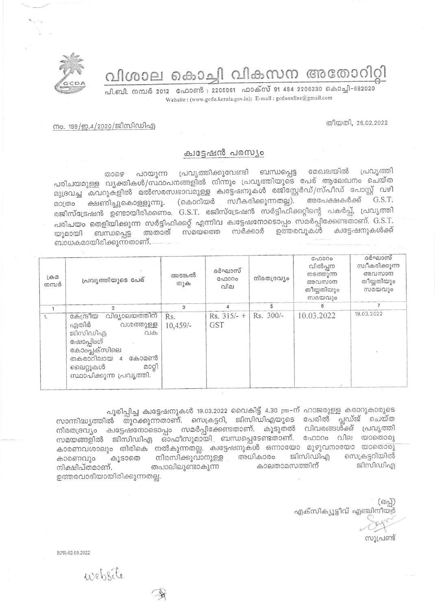വിശാല കൊച്ചി വികസന അതോറിറ്റി



പി.ബി. നമ്പർ 2012 ഫോൺ : 2205061 ഫാക്സ് 91 484 2206230 കൊച്ചി-682020 Website: (www.gcda.kerala.gov.in); E-mail: gcdaonline@gmail.com

തീയതി, 26.02.2022

## നം. 199/ഇ.4/2020/ജിസിഡിഎ

## ക്വട്ടേഷൻ പരസ്യം

പ്രവൃത്തിക്കുവേണ്ടി ബന്ധപ്പെട്ട മേഖലയിൽ പ്രവൃത്തി താഴെ പറയുന്ന പരിചയമുള്ള വൃക്തികൾ/സ്ഥാപനങ്ങളിൽ നിന്നും പ്രവൃത്തിയുടെ പേര് ആലേഖനം ചെയ്ത മുദ്രവച്ച കവറുകളിൽ മൽസരസ്വഭാവമുള്ള ക്വട്ടേഷനുകൾ രജിസ്റ്റേർഡ്/സ്പീഡ് പോസ്റ്റ് വഴി G.S.T. സ്വീകരിക്കുന്നതല്ല). അപേക്ഷകർക്ക് (കൊറിയർ ക്ഷണിച്ചുകൊള്ളുന്നു. മാത്രം രജിസ്ട്രേഷൻ ഉണ്ടായിരിക്കണം. G.S.T. രജിസ്ട്രേഷൻ സർട്ടിഫിക്കറ്റിന്റെ പകർപ്പ്, പ്രവൃത്തി പരിചയം തെളിയിക്കുന്ന സർട്ടിഫിക്കറ്റ് എന്നിവ കുട്ടേഷനോടൊപ്പം സമർപ്പിക്കേണ്ടതാണ്. G.S.T. സർക്കാർ ക്വട്ടേഷനുകൾക്ക് ഉത്തരവുകൾ അതാത് സമയത്തെ ബന്ധപ്പെട്ട യുമായി ബാധകമായിരിക്കുന്നതാണ്.

| $L \oplus \mathcal{D}$<br>നമ്പർ | പ്രവൃത്തിയുടെ പേര്                                                                                                                                                              | അടങ്കൽ<br>തുക     | ദർഘാസ്<br>ഫോറം<br>വില       | നിരതദ്രവ്യം | ഫോറം<br>വിൽപ്പന<br>നടത്തുന്ന<br>അവസാന<br>തീയ്യതിയും<br>സമയവും | ദർഘാസ്<br>സ്വീകരിക്കുന്ന<br>അവസാന<br>തീയ്യതിയും<br>സമയവും |
|---------------------------------|---------------------------------------------------------------------------------------------------------------------------------------------------------------------------------|-------------------|-----------------------------|-------------|---------------------------------------------------------------|-----------------------------------------------------------|
|                                 | $\overline{2}$                                                                                                                                                                  | 3                 |                             | 5           | в                                                             |                                                           |
| 1.                              | വിദ്യാലയത്തിന്<br>കേന്ദ്രീയ<br>എതിർ<br>വശത്തുള്ള<br>ജിസിഡിഎ<br>വക<br>ഷോപ്പിംഗ്<br>കോംപ്ലക്സിലെ<br>തകരാറിലായ<br>കോമൺ<br>$\Delta$<br>മാറി<br>ലൈറ്റുകൾ<br>സ്ഥാപിക്കുന്ന പ്രവൃത്തി. | Rs.<br>$10,459/-$ | $Rs. 315/- +$<br><b>GST</b> | Rs. 300/-   | 10.03.2022                                                    | 19.03.2022                                                |

പൂരിപ്പിച്ച ക്വട്ടേഷനുകൾ 19.03.2022 വൈകിട്ട് 4.30 pm-ന് ഹാജരുള്ള കരാറുകാരുടെ പ്ലഡ്ജ് ചെയ്ത സാന്നിദ്ധ്യത്തിൽ തുറക്കുന്നതാണ്. സെക്രട്ടറി, ജിസിഡിഎയുടെ പേരിൽ നിരതദ്രവ്യം ക്വട്ടേഷ്നോടൊപ്പം സമർപ്പിക്കേണ്ടതാണ്. കൂടുതൽ വിവരങ്ങൾ്ക്ക് പ്രവൃത്തി സമയങ്ങളിൽ ജിസിഡിഎ ഓഫീസുമായി ബന്ധപ്പെടേണ്ടതാണ്. ഫോറം വില യാതൊരു കാരണവശാലും തിരികെ നൽകുന്നതല്ല. ക്വട്ടേഷനുകൾ ഒന്നായോ മുഴുവനായോ യാതൊരു സെക്രട്ടറിയിൽ നിരസിക്കുവാനുള്ള അധികാരം ജിസിഡിഎ കൂടാതെ കാരണവും കാലതാമസത്തിന് ജിസിഡിഎ തപാലിലുണ്ടാകുന്ന നിക്ഷിപ്തമാണ്. ഉത്തരവാദിയായിരിക്കുന്നതല്ല.

 $(632)$ എക്സിക്യൂട്ടീവ് എഞ്ചിനീയർ

സൂപ്രണ്ട്

RPR-02 03 2022

website